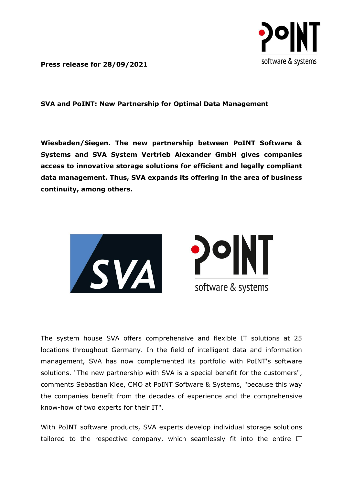

**Press release for 28/09/2021**

**SVA and PoINT: New Partnership for Optimal Data Management**

**Wiesbaden/Siegen. The new partnership between PoINT Software & Systems and SVA System Vertrieb Alexander GmbH gives companies access to innovative storage solutions for efficient and legally compliant data management. Thus, SVA expands its offering in the area of business continuity, among others.**



The system house SVA offers comprehensive and flexible IT solutions at 25 locations throughout Germany. In the field of intelligent data and information management, SVA has now complemented its portfolio with PoINT's software solutions. "The new partnership with SVA is a special benefit for the customers", comments Sebastian Klee, CMO at PoINT Software & Systems, "because this way the companies benefit from the decades of experience and the comprehensive know-how of two experts for their IT".

With PoINT software products, SVA experts develop individual storage solutions tailored to the respective company, which seamlessly fit into the entire IT